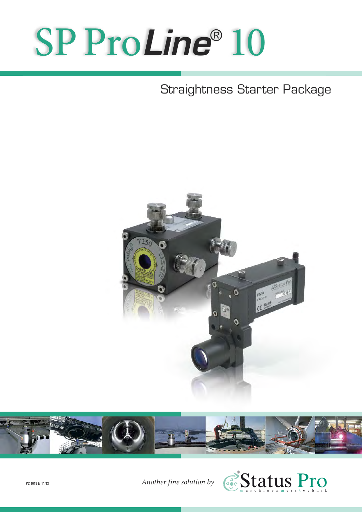

## Straightness Starter Package





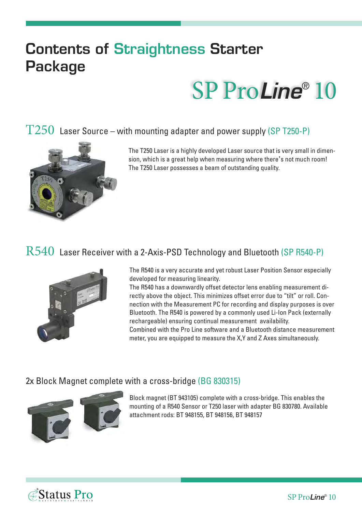# **Contents of Straightness Starter Package**



### $T250$  Laser Source – with mounting adapter and power supply (SP T250-P)



The T250 Laser is a highly developed Laser source that is very small in dimension, which is a great help when measuring where there's not much room! The T250 Laser possesses a beam of outstanding quality.

## R540 Laser Receiver with a 2-Axis-PSD Technology and Bluetooth (SP R540-P)



The R540 is a very accurate and yet robust Laser Position Sensor especially developed for measuring linearity.

The R540 has a downwardly offset detector lens enabling measurement directly above the object. This minimizes offset error due to "tilt" or roll. Connection with the Measurement PC for recording and display purposes is over Bluetooth. The R540 is powered by a commonly used Li-Ion Pack (externally rechargeable) ensuring continual measurement availability.

Combined with the Pro Line software and a Bluetooth distance measurement meter, you are equipped to measure the X,Y and Z Axes simultaneously.

#### 2x Block Magnet complete with a cross-bridge (BG 830315)



Block magnet (BT 943105) complete with a cross-bridge. This enables the mounting of a R540 Sensor or T250 laser with adapter BG 830780. Available attachment rods: BT 948155, BT 948156, BT 948157

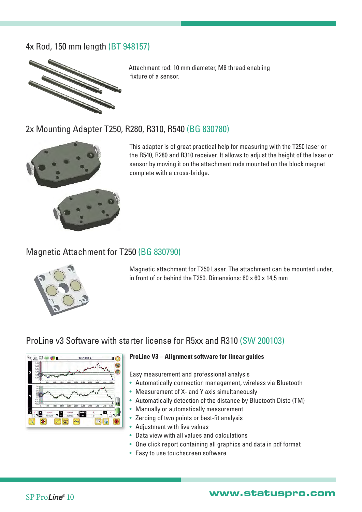#### 4x Rod, 150 mm length (BT 948157)



Attachment rod: 10 mm diameter, M8 thread enabling fixture of a sensor.

#### 2x Mounting Adapter T250, R280, R310, R540 (BG 830780)



This adapter is of great practical help for measuring with the T250 laser or the R540, R280 and R310 receiver. It allows to adjust the height of the laser or sensor by moving it on the attachment rods mounted on the block magnet complete with a cross-bridge.

#### Magnetic Attachment for T250 (BG 830790)



Magnetic attachment for T250 Laser. The attachment can be mounted under, in front of or behind the T250. Dimensions: 60 x 60 x 14,5 mm

#### ProLine v3 Software with starter license for R5xx and R310 (SW 200103)



#### **ProLine V3 – Alignment software for linear guides**

Easy measurement and professional analysis

- Automatically connection management, wireless via Bluetooth
- Measurement of X- and Y axis simultaneously
- Automatically detection of the distance by Bluetooth Disto (TM)
- Manually or automatically measurement
- Zeroing of two points or best-fit analysis
- Adjustment with live values
- Data view with all values and calculations
- One click report containing all graphics and data in pdf format
- Easy to use touchscreen software

#### SP Pro*Line*® <sup>10</sup> **www.statuspro.com**